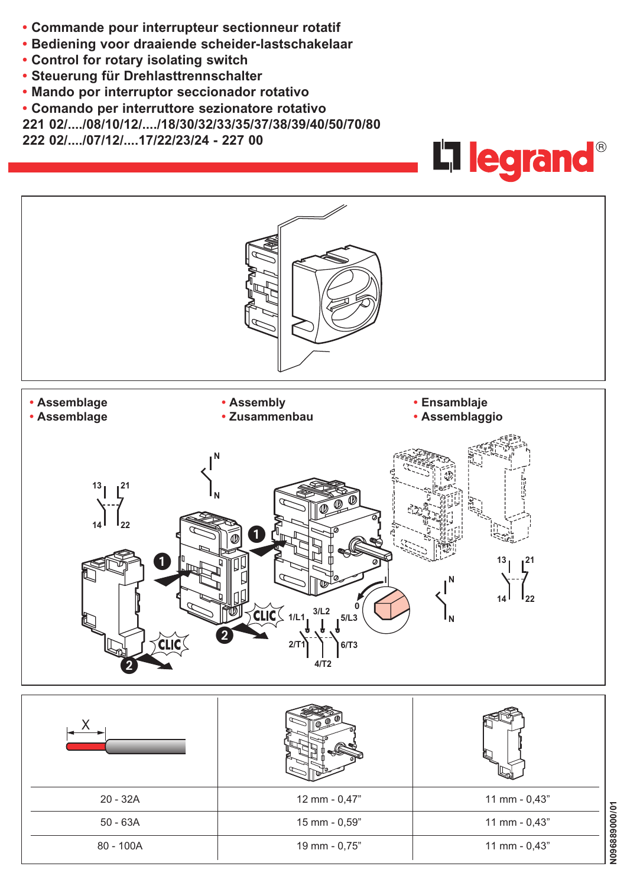- **• Commande pour interrupteur sectionneur rotatif**
- **• Bediening voor draaiende scheider-lastschakelaar**
- **• Control for rotary isolating switch**
- **• Steuerung für Drehlasttrennschalter**
- **• Mando por interruptor seccionador rotativo**
- **• Comando per interruttore sezionatore rotativo**
- **221 02/..../08/10/12/..../18/30/32/33/35/37/38/39/40/50/70/80**

**222 02/..../07/12/....17/22/23/24 - 227 00**



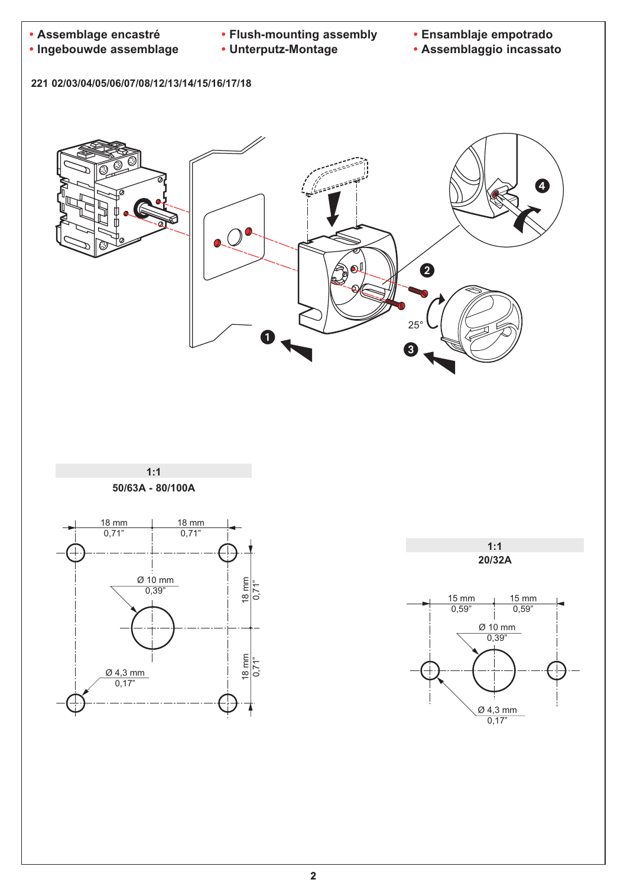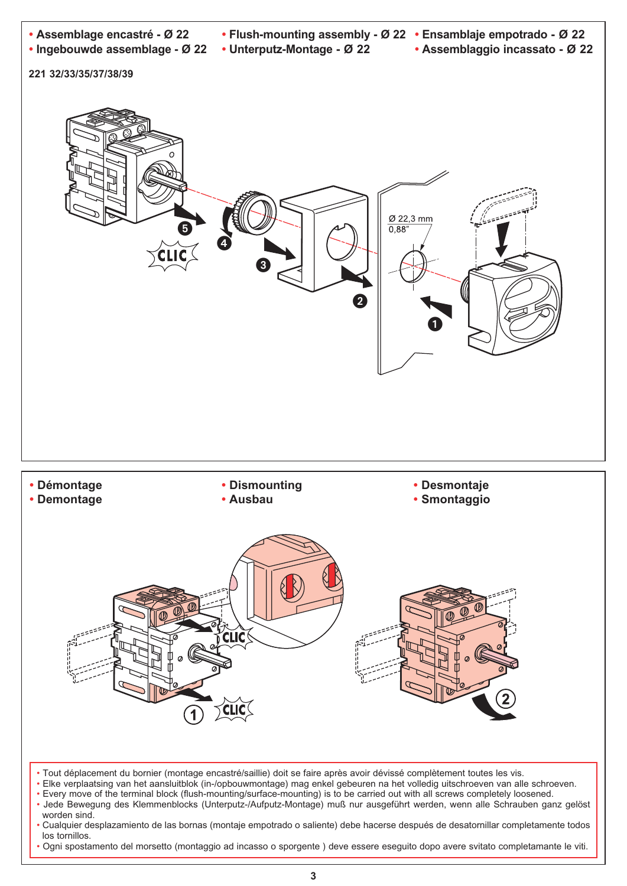